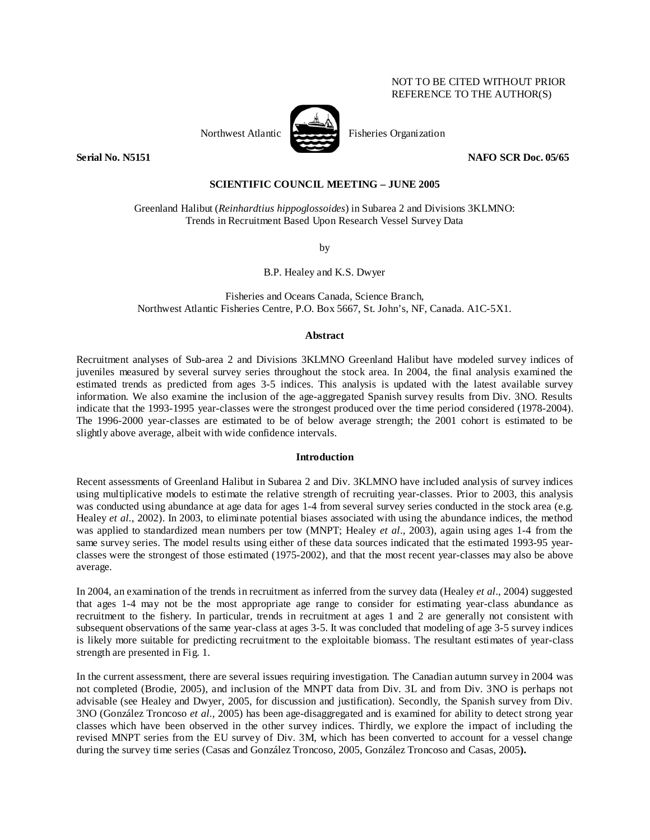## NOT TO BE CITED WITHOUT PRIOR REFERENCE TO THE AUTHOR(S)



**Serial No. N5151** NAFO SCR Doc. 05/65

### **SCIENTIFIC COUNCIL MEETING – JUNE 2005**

Greenland Halibut (*Reinhardtius hippoglossoides*) in Subarea 2 and Divisions 3KLMNO: Trends in Recruitment Based Upon Research Vessel Survey Data

by

B.P. Healey and K.S. Dwyer

Fisheries and Oceans Canada, Science Branch, Northwest Atlantic Fisheries Centre, P.O. Box 5667, St. John's, NF, Canada. A1C-5X1.

### **Abstract**

Recruitment analyses of Sub-area 2 and Divisions 3KLMNO Greenland Halibut have modeled survey indices of juveniles measured by several survey series throughout the stock area. In 2004, the final analysis examined the estimated trends as predicted from ages 3-5 indices. This analysis is updated with the latest available survey information. We also examine the inclusion of the age-aggregated Spanish survey results from Div. 3NO. Results indicate that the 1993-1995 year-classes were the strongest produced over the time period considered (1978-2004). The 1996-2000 year-classes are estimated to be of below average strength; the 2001 cohort is estimated to be slightly above average, albeit with wide confidence intervals.

### **Introduction**

Recent assessments of Greenland Halibut in Subarea 2 and Div. 3KLMNO have included analysis of survey indices using multiplicative models to estimate the relative strength of recruiting year-classes. Prior to 2003, this analysis was conducted using abundance at age data for ages 1-4 from several survey series conducted in the stock area (e.g. Healey *et al.*, 2002). In 2003, to eliminate potential biases associated with using the abundance indices, the method was applied to standardized mean numbers per tow (MNPT; Healey *et al*., 2003), again using ages 1-4 from the same survey series. The model results using either of these data sources indicated that the estimated 1993-95 yearclasses were the strongest of those estimated (1975-2002), and that the most recent year-classes may also be above average.

In 2004, an examination of the trends in recruitment as inferred from the survey data (Healey *et al*., 2004) suggested that ages 1-4 may not be the most appropriate age range to consider for estimating year-class abundance as recruitment to the fishery. In particular, trends in recruitment at ages 1 and 2 are generally not consistent with subsequent observations of the same year-class at ages 3-5. It was concluded that modeling of age 3-5 survey indices is likely more suitable for predicting recruitment to the exploitable biomass. The resultant estimates of year-class strength are presented in Fig. 1.

In the current assessment, there are several issues requiring investigation. The Canadian autumn survey in 2004 was not completed (Brodie, 2005), and inclusion of the MNPT data from Div. 3L and from Div. 3NO is perhaps not advisable (see Healey and Dwyer, 2005, for discussion and justification). Secondly, the Spanish survey from Div. 3NO (González Troncoso *et al.*, 2005) has been age-disaggregated and is examined for ability to detect strong year classes which have been observed in the other survey indices. Thirdly, we explore the impact of including the revised MNPT series from the EU survey of Div. 3M, which has been converted to account for a vessel change during the survey time series (Casas and González Troncoso, 2005, González Troncoso and Casas, 2005**).**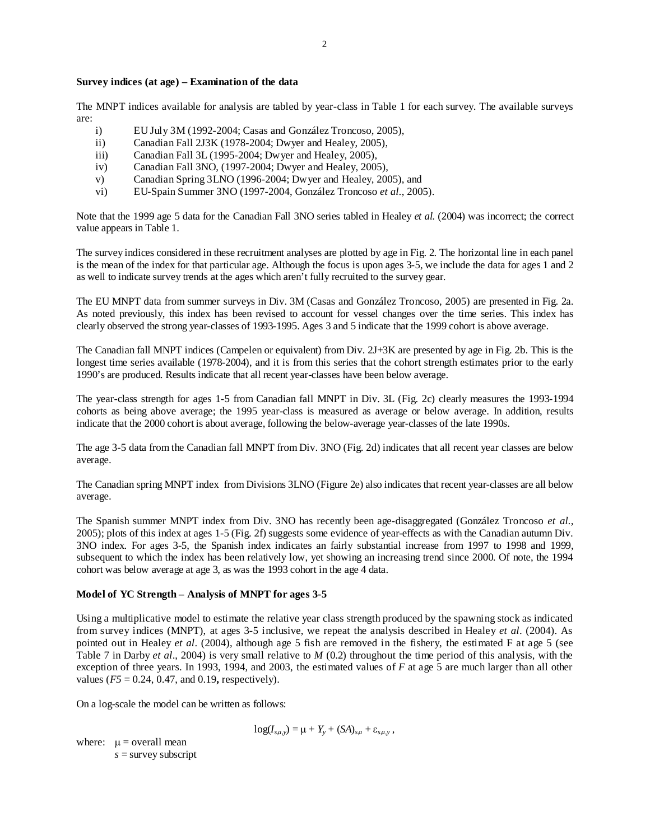The MNPT indices available for analysis are tabled by year-class in Table 1 for each survey. The available surveys are:

- i) EU July 3M (1992-2004; Casas and González Troncoso, 2005),
- ii) Canadian Fall 2J3K (1978-2004; Dwyer and Healey, 2005),
- iii) Canadian Fall 3L (1995-2004; Dwyer and Healey, 2005),
- iv) Canadian Fall 3NO, (1997-2004; Dwyer and Healey, 2005),
- v) Canadian Spring 3LNO (1996-2004; Dwyer and Healey, 2005), and
- vi) EU-Spain Summer 3NO (1997-2004, González Troncoso *et al.*, 2005).

Note that the 1999 age 5 data for the Canadian Fall 3NO series tabled in Healey *et al.* (2004) was incorrect; the correct value appears in Table 1.

The survey indices considered in these recruitment analyses are plotted by age in Fig. 2. The horizontal line in each panel is the mean of the index for that particular age. Although the focus is upon ages 3-5, we include the data for ages 1 and 2 as well to indicate survey trends at the ages which aren't fully recruited to the survey gear.

The EU MNPT data from summer surveys in Div. 3M (Casas and González Troncoso, 2005) are presented in Fig. 2a. As noted previously, this index has been revised to account for vessel changes over the time series. This index has clearly observed the strong year-classes of 1993-1995. Ages 3 and 5 indicate that the 1999 cohort is above average.

The Canadian fall MNPT indices (Campelen or equivalent) from Div. 2J+3K are presented by age in Fig. 2b. This is the longest time series available (1978-2004), and it is from this series that the cohort strength estimates prior to the early 1990's are produced. Results indicate that all recent year-classes have been below average.

The year-class strength for ages 1-5 from Canadian fall MNPT in Div. 3L (Fig. 2c) clearly measures the 1993-1994 cohorts as being above average; the 1995 year-class is measured as average or below average. In addition, results indicate that the 2000 cohort is about average, following the below-average year-classes of the late 1990s.

The age 3-5 data from the Canadian fall MNPT from Div. 3NO (Fig. 2d) indicates that all recent year classes are below average.

The Canadian spring MNPT index from Divisions 3LNO (Figure 2e) also indicates that recent year-classes are all below average.

The Spanish summer MNPT index from Div. 3NO has recently been age-disaggregated (González Troncoso *et al.*, 2005); plots of this index at ages 1-5 (Fig. 2f) suggests some evidence of year-effects as with the Canadian autumn Div. 3NO index. For ages 3-5, the Spanish index indicates an fairly substantial increase from 1997 to 1998 and 1999, subsequent to which the index has been relatively low, yet showing an increasing trend since 2000. Of note, the 1994 cohort was below average at age 3, as was the 1993 cohort in the age 4 data.

# **Model of YC Strength – Analysis of MNPT for ages 3-5**

Using a multiplicative model to estimate the relative year class strength produced by the spawning stock as indicated from survey indices (MNPT), at ages 3-5 inclusive, we repeat the analysis described in Healey *et al*. (2004). As pointed out in Healey *et al*. (2004), although age 5 fish are removed in the fishery, the estimated F at age 5 (see Table 7 in Darby *et al*., 2004) is very small relative to *M* (0.2) throughout the time period of this analysis, with the exception of three years. In 1993, 1994, and 2003, the estimated values of *F* at age 5 are much larger than all other values  $(F5 = 0.24, 0.47, \text{ and } 0.19, \text{ respectively).}$ 

On a log-scale the model can be written as follows:

$$
log(I_{s,a,y}) = \mu + Y_y + (SA)_{s,a} + \varepsilon_{s,a,y},
$$

where:  $\mu$  = overall mean *s* = survey subscript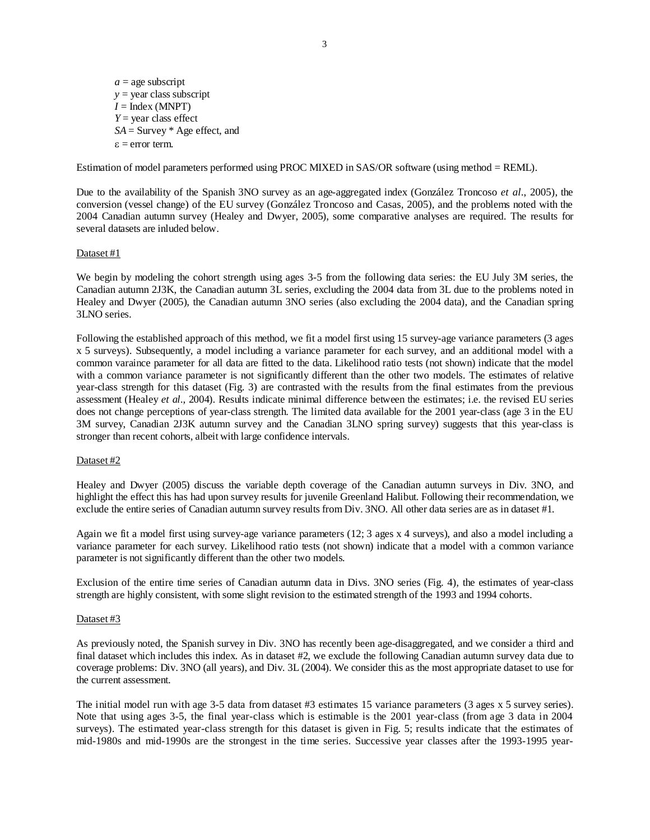$a =$ age subscript *y* = year class subscript  $I = \text{Index (MNPT)}$ *Y* = year class effect *SA* = Survey \* Age effect, and ε = error term.

Estimation of model parameters performed using PROC MIXED in SAS/OR software (using method = REML).

Due to the availability of the Spanish 3NO survey as an age-aggregated index (González Troncoso *et al*., 2005), the conversion (vessel change) of the EU survey (González Troncoso and Casas, 2005), and the problems noted with the 2004 Canadian autumn survey (Healey and Dwyer, 2005), some comparative analyses are required. The results for several datasets are inluded below.

### Dataset #1

We begin by modeling the cohort strength using ages 3-5 from the following data series: the EU July 3M series, the Canadian autumn 2J3K, the Canadian autumn 3L series, excluding the 2004 data from 3L due to the problems noted in Healey and Dwyer (2005), the Canadian autumn 3NO series (also excluding the 2004 data), and the Canadian spring 3LNO series.

Following the established approach of this method, we fit a model first using 15 survey-age variance parameters (3 ages x 5 surveys). Subsequently, a model including a variance parameter for each survey, and an additional model with a common varaince parameter for all data are fitted to the data. Likelihood ratio tests (not shown) indicate that the model with a common variance parameter is not significantly different than the other two models. The estimates of relative year-class strength for this dataset (Fig. 3) are contrasted with the results from the final estimates from the previous assessment (Healey *et al*., 2004). Results indicate minimal difference between the estimates; i.e. the revised EU series does not change perceptions of year-class strength. The limited data available for the 2001 year-class (age 3 in the EU 3M survey, Canadian 2J3K autumn survey and the Canadian 3LNO spring survey) suggests that this year-class is stronger than recent cohorts, albeit with large confidence intervals.

### Dataset #2

Healey and Dwyer (2005) discuss the variable depth coverage of the Canadian autumn surveys in Div. 3NO, and highlight the effect this has had upon survey results for juvenile Greenland Halibut. Following their recommendation, we exclude the entire series of Canadian autumn survey results from Div. 3NO. All other data series are as in dataset #1.

Again we fit a model first using survey-age variance parameters (12; 3 ages x 4 surveys), and also a model including a variance parameter for each survey. Likelihood ratio tests (not shown) indicate that a model with a common variance parameter is not significantly different than the other two models.

Exclusion of the entire time series of Canadian autumn data in Divs. 3NO series (Fig. 4), the estimates of year-class strength are highly consistent, with some slight revision to the estimated strength of the 1993 and 1994 cohorts.

#### Dataset #3

As previously noted, the Spanish survey in Div. 3NO has recently been age-disaggregated, and we consider a third and final dataset which includes this index. As in dataset #2, we exclude the following Canadian autumn survey data due to coverage problems: Div. 3NO (all years), and Div. 3L (2004). We consider this as the most appropriate dataset to use for the current assessment.

The initial model run with age 3-5 data from dataset #3 estimates 15 variance parameters (3 ages x 5 survey series). Note that using ages 3-5, the final year-class which is estimable is the 2001 year-class (from age 3 data in 2004 surveys). The estimated year-class strength for this dataset is given in Fig. 5; results indicate that the estimates of mid-1980s and mid-1990s are the strongest in the time series. Successive year classes after the 1993-1995 year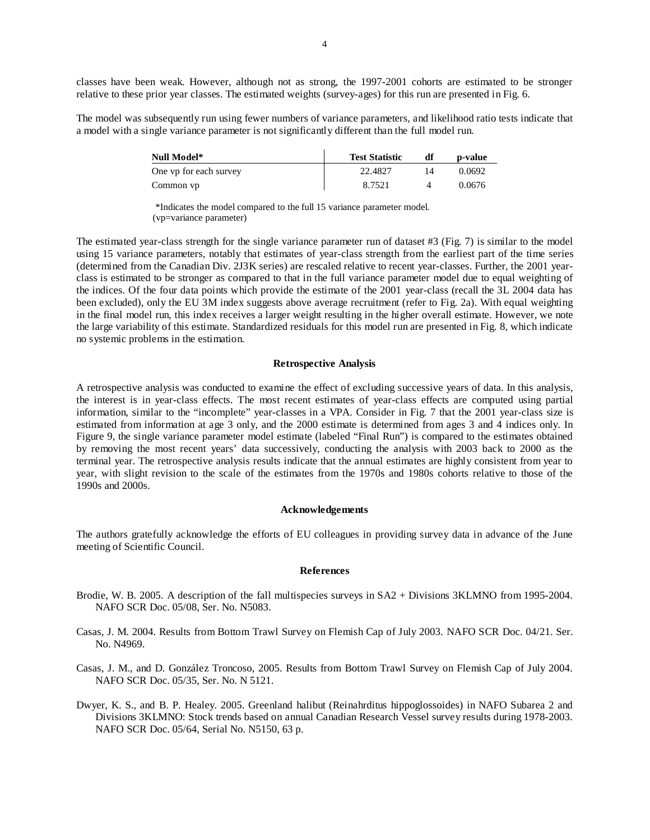classes have been weak. However, although not as strong, the 1997-2001 cohorts are estimated to be stronger relative to these prior year classes. The estimated weights (survey-ages) for this run are presented in Fig. 6.

The model was subsequently run using fewer numbers of variance parameters, and likelihood ratio tests indicate that a model with a single variance parameter is not significantly different than the full model run.

| Null Model*            | <b>Test Statistic</b> | p-value |
|------------------------|-----------------------|---------|
| One vp for each survey | 22.4827               | 0.0692  |
| Common vp              | 8.7521                | 0.0676  |

 \*Indicates the model compared to the full 15 variance parameter model. (vp=variance parameter)

The estimated year-class strength for the single variance parameter run of dataset #3 (Fig. 7) is similar to the model using 15 variance parameters, notably that estimates of year-class strength from the earliest part of the time series (determined from the Canadian Div. 2J3K series) are rescaled relative to recent year-classes. Further, the 2001 yearclass is estimated to be stronger as compared to that in the full variance parameter model due to equal weighting of the indices. Of the four data points which provide the estimate of the 2001 year-class (recall the 3L 2004 data has been excluded), only the EU 3M index suggests above average recruitment (refer to Fig. 2a). With equal weighting in the final model run, this index receives a larger weight resulting in the higher overall estimate. However, we note the large variability of this estimate. Standardized residuals for this model run are presented in Fig. 8, which indicate no systemic problems in the estimation.

#### **Retrospective Analysis**

A retrospective analysis was conducted to examine the effect of excluding successive years of data. In this analysis, the interest is in year-class effects. The most recent estimates of year-class effects are computed using partial information, similar to the "incomplete" year-classes in a VPA. Consider in Fig. 7 that the 2001 year-class size is estimated from information at age 3 only, and the 2000 estimate is determined from ages 3 and 4 indices only. In Figure 9, the single variance parameter model estimate (labeled "Final Run") is compared to the estimates obtained by removing the most recent years' data successively, conducting the analysis with 2003 back to 2000 as the terminal year. The retrospective analysis results indicate that the annual estimates are highly consistent from year to year, with slight revision to the scale of the estimates from the 1970s and 1980s cohorts relative to those of the 1990s and 2000s.

#### **Acknowledgements**

The authors gratefully acknowledge the efforts of EU colleagues in providing survey data in advance of the June meeting of Scientific Council.

#### **References**

- Brodie, W. B. 2005. A description of the fall multispecies surveys in SA2 + Divisions 3KLMNO from 1995-2004. NAFO SCR Doc. 05/08, Ser. No. N5083.
- Casas, J. M. 2004. Results from Bottom Trawl Survey on Flemish Cap of July 2003. NAFO SCR Doc. 04/21. Ser. No. N4969.
- Casas, J. M., and D. González Troncoso, 2005. Results from Bottom Trawl Survey on Flemish Cap of July 2004. NAFO SCR Doc. 05/35, Ser. No. N 5121.
- Dwyer, K. S., and B. P. Healey. 2005. Greenland halibut (Reinahrditus hippoglossoides) in NAFO Subarea 2 and Divisions 3KLMNO: Stock trends based on annual Canadian Research Vessel survey results during 1978-2003. NAFO SCR Doc. 05/64, Serial No. N5150, 63 p.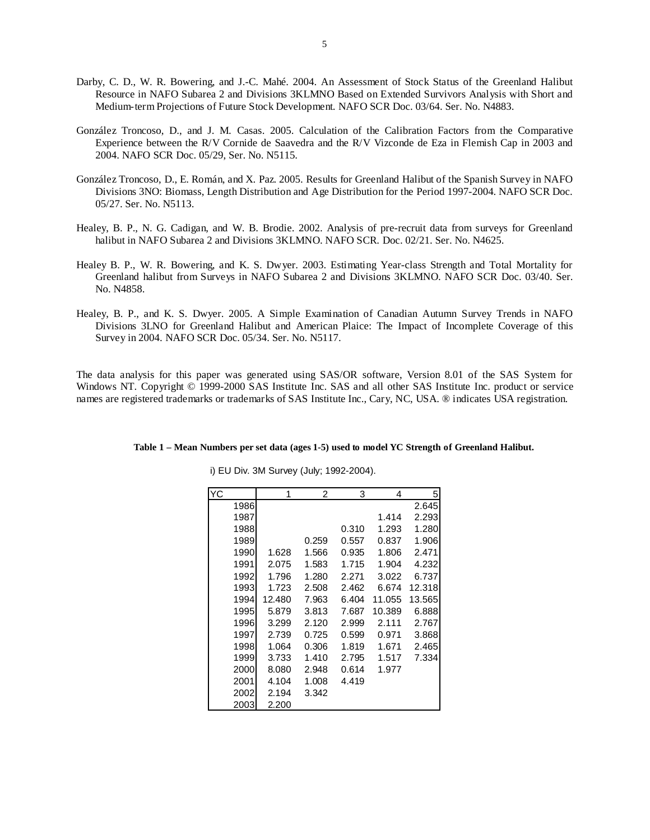- Darby, C. D., W. R. Bowering, and J.-C. Mahé. 2004. An Assessment of Stock Status of the Greenland Halibut Resource in NAFO Subarea 2 and Divisions 3KLMNO Based on Extended Survivors Analysis with Short and Medium-term Projections of Future Stock Development. NAFO SCR Doc. 03/64. Ser. No. N4883.
- González Troncoso, D., and J. M. Casas. 2005. Calculation of the Calibration Factors from the Comparative Experience between the R/V Cornide de Saavedra and the R/V Vizconde de Eza in Flemish Cap in 2003 and 2004. NAFO SCR Doc. 05/29, Ser. No. N5115.
- González Troncoso, D., E. Román, and X. Paz. 2005. Results for Greenland Halibut of the Spanish Survey in NAFO Divisions 3NO: Biomass, Length Distribution and Age Distribution for the Period 1997-2004. NAFO SCR Doc. 05/27. Ser. No. N5113.
- Healey, B. P., N. G. Cadigan, and W. B. Brodie. 2002. Analysis of pre-recruit data from surveys for Greenland halibut in NAFO Subarea 2 and Divisions 3KLMNO. NAFO SCR. Doc. 02/21. Ser. No. N4625.
- Healey B. P., W. R. Bowering, and K. S. Dwyer. 2003. Estimating Year-class Strength and Total Mortality for Greenland halibut from Surveys in NAFO Subarea 2 and Divisions 3KLMNO. NAFO SCR Doc. 03/40. Ser. No. N4858.
- Healey, B. P., and K. S. Dwyer. 2005. A Simple Examination of Canadian Autumn Survey Trends in NAFO Divisions 3LNO for Greenland Halibut and American Plaice: The Impact of Incomplete Coverage of this Survey in 2004. NAFO SCR Doc. 05/34. Ser. No. N5117.

The data analysis for this paper was generated using SAS/OR software, Version 8.01 of the SAS System for Windows NT. Copyright © 1999-2000 SAS Institute Inc. SAS and all other SAS Institute Inc. product or service names are registered trademarks or trademarks of SAS Institute Inc., Cary, NC, USA. ® indicates USA registration.

| YC   | 1      | 2     | 3     | 4      | 5      |
|------|--------|-------|-------|--------|--------|
| 1986 |        |       |       |        | 2.645  |
| 1987 |        |       |       | 1.414  | 2.293  |
| 1988 |        |       | 0.310 | 1.293  | 1.280  |
| 1989 |        | 0.259 | 0.557 | 0.837  | 1.906  |
| 1990 | 1.628  | 1.566 | 0.935 | 1.806  | 2.471  |
| 1991 | 2.075  | 1.583 | 1.715 | 1.904  | 4.232  |
| 1992 | 1.796  | 1.280 | 2.271 | 3.022  | 6.737  |
| 1993 | 1.723  | 2.508 | 2.462 | 6.674  | 12.318 |
| 1994 | 12.480 | 7.963 | 6.404 | 11.055 | 13.565 |
| 1995 | 5.879  | 3.813 | 7.687 | 10.389 | 6.888  |
| 1996 | 3.299  | 2.120 | 2.999 | 2.111  | 2.767  |
| 1997 | 2.739  | 0.725 | 0.599 | 0.971  | 3.868  |
| 1998 | 1.064  | 0.306 | 1.819 | 1.671  | 2.465  |
| 1999 | 3.733  | 1.410 | 2.795 | 1.517  | 7.334  |
| 2000 | 8.080  | 2.948 | 0.614 | 1.977  |        |
| 2001 | 4.104  | 1.008 | 4.419 |        |        |
| 2002 | 2.194  | 3.342 |       |        |        |
| 2003 | 2.200  |       |       |        |        |

**Table 1 – Mean Numbers per set data (ages 1-5) used to model YC Strength of Greenland Halibut.** 

i) EU Div. 3M Survey (July; 1992-2004).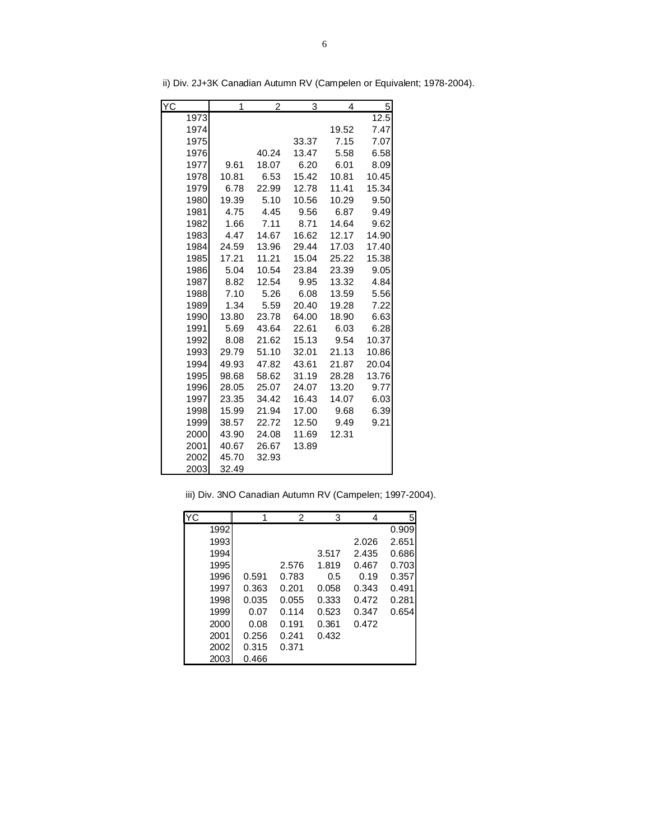| ΥC   | 1     | 2     | 3     | 4     | 5     |
|------|-------|-------|-------|-------|-------|
| 1973 |       |       |       |       | 12.5  |
| 1974 |       |       |       | 19.52 | 7.47  |
| 1975 |       |       | 33.37 | 7.15  | 7.07  |
| 1976 |       | 40.24 | 13.47 | 5.58  | 6.58  |
| 1977 | 9.61  | 18.07 | 6.20  | 6.01  | 8.09  |
| 1978 | 10.81 | 6.53  | 15.42 | 10.81 | 10.45 |
| 1979 | 6.78  | 22.99 | 12.78 | 11.41 | 15.34 |
| 1980 | 19.39 | 5.10  | 10.56 | 10.29 | 9.50  |
| 1981 | 4.75  | 4.45  | 9.56  | 6.87  | 9.49  |
| 1982 | 1.66  | 7.11  | 8.71  | 14.64 | 9.62  |
| 1983 | 4.47  | 14.67 | 16.62 | 12.17 | 14.90 |
| 1984 | 24.59 | 13.96 | 29.44 | 17.03 | 17.40 |
| 1985 | 17.21 | 11.21 | 15.04 | 25.22 | 15.38 |
| 1986 | 5.04  | 10.54 | 23.84 | 23.39 | 9.05  |
| 1987 | 8.82  | 12.54 | 9.95  | 13.32 | 4.84  |
| 1988 | 7.10  | 5.26  | 6.08  | 13.59 | 5.56  |
| 1989 | 1.34  | 5.59  | 20.40 | 19.28 | 7.22  |
| 1990 | 13.80 | 23.78 | 64.00 | 18.90 | 6.63  |
| 1991 | 5.69  | 43.64 | 22.61 | 6.03  | 6.28  |
| 1992 | 8.08  | 21.62 | 15.13 | 9.54  | 10.37 |
| 1993 | 29.79 | 51.10 | 32.01 | 21.13 | 10.86 |
| 1994 | 49.93 | 47.82 | 43.61 | 21.87 | 20.04 |
| 1995 | 98.68 | 58.62 | 31.19 | 28.28 | 13.76 |
| 1996 | 28.05 | 25.07 | 24.07 | 13.20 | 9.77  |
| 1997 | 23.35 | 34.42 | 16.43 | 14.07 | 6.03  |
| 1998 | 15.99 | 21.94 | 17.00 | 9.68  | 6.39  |
| 1999 | 38.57 | 22.72 | 12.50 | 9.49  | 9.21  |
| 2000 | 43.90 | 24.08 | 11.69 | 12.31 |       |
| 2001 | 40.67 | 26.67 | 13.89 |       |       |
| 2002 | 45.70 | 32.93 |       |       |       |
| 2003 | 32.49 |       |       |       |       |

ii) Div. 2J+3K Canadian Autumn RV (Campelen or Equivalent; 1978-2004).

|  |  | iii) Div. 3NO Canadian Autumn RV (Campelen; 1997-2004). |  |  |  |  |  |  |
|--|--|---------------------------------------------------------|--|--|--|--|--|--|
|--|--|---------------------------------------------------------|--|--|--|--|--|--|

| <b>YC</b> |       | 2     | 3     | 4     | 5     |
|-----------|-------|-------|-------|-------|-------|
| 1992      |       |       |       |       | 0.909 |
| 1993      |       |       |       | 2.026 | 2.651 |
| 1994      |       |       | 3.517 | 2.435 | 0.686 |
| 1995      |       | 2.576 | 1.819 | 0.467 | 0.703 |
| 1996      | 0.591 | 0.783 | 0.5   | 0.19  | 0.357 |
| 1997      | 0.363 | 0.201 | 0.058 | 0.343 | 0.491 |
| 1998      | 0.035 | 0.055 | 0.333 | 0.472 | 0.281 |
| 1999      | 0.07  | 0.114 | 0.523 | 0.347 | 0.654 |
| 2000      | 0.08  | 0.191 | 0.361 | 0.472 |       |
| 2001      | 0.256 | 0.241 | 0.432 |       |       |
| 2002      | 0.315 | 0.371 |       |       |       |
| 2003      | 0.466 |       |       |       |       |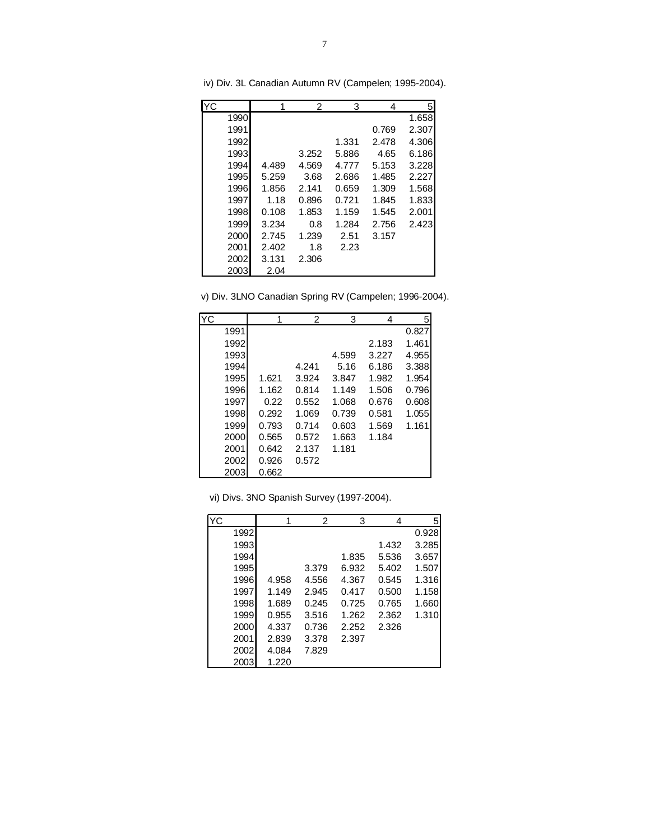| YC   |       | 2     | 3     | 4     | 5     |
|------|-------|-------|-------|-------|-------|
| 1990 |       |       |       |       | 1.658 |
| 1991 |       |       |       | 0.769 | 2.307 |
| 1992 |       |       | 1.331 | 2.478 | 4.306 |
| 1993 |       | 3.252 | 5.886 | 4.65  | 6.186 |
| 1994 | 4.489 | 4.569 | 4.777 | 5.153 | 3.228 |
| 1995 | 5.259 | 3.68  | 2.686 | 1.485 | 2.227 |
| 1996 | 1.856 | 2.141 | 0.659 | 1.309 | 1.568 |
| 1997 | 1.18  | 0.896 | 0.721 | 1.845 | 1.833 |
| 1998 | 0.108 | 1.853 | 1.159 | 1.545 | 2.001 |
| 1999 | 3.234 | 0.8   | 1.284 | 2.756 | 2.423 |
| 2000 | 2.745 | 1.239 | 2.51  | 3.157 |       |
| 2001 | 2.402 | 1.8   | 2.23  |       |       |
| 2002 | 3.131 | 2.306 |       |       |       |
| 2003 | 2.04  |       |       |       |       |

iv) Div. 3L Canadian Autumn RV (Campelen; 1995-2004).

| v) Div. 3LNO Canadian Spring RV (Campelen; 1996-2004). |  |  |
|--------------------------------------------------------|--|--|
|--------------------------------------------------------|--|--|

| YC   |       | 2     | 3     | 4     | 5     |
|------|-------|-------|-------|-------|-------|
| 1991 |       |       |       |       | 0.827 |
| 1992 |       |       |       | 2.183 | 1.461 |
| 1993 |       |       | 4.599 | 3.227 | 4.955 |
| 1994 |       | 4.241 | 5.16  | 6.186 | 3.388 |
| 1995 | 1.621 | 3.924 | 3.847 | 1.982 | 1.954 |
| 1996 | 1.162 | 0.814 | 1.149 | 1.506 | 0.796 |
| 1997 | 0.22  | 0.552 | 1.068 | 0.676 | 0.608 |
| 1998 | 0.292 | 1.069 | 0.739 | 0.581 | 1.055 |
| 1999 | 0.793 | 0.714 | 0.603 | 1.569 | 1.161 |
| 2000 | 0.565 | 0.572 | 1.663 | 1.184 |       |
| 2001 | 0.642 | 2.137 | 1.181 |       |       |
| 2002 | 0.926 | 0.572 |       |       |       |
| 2003 | 0.662 |       |       |       |       |

|  |  |  |  |  | vi) Divs. 3NO Spanish Survey (1997-2004). |  |
|--|--|--|--|--|-------------------------------------------|--|
|--|--|--|--|--|-------------------------------------------|--|

| YC |      | 1     | 2     | 3     | 4     | 5     |
|----|------|-------|-------|-------|-------|-------|
|    | 1992 |       |       |       |       | 0.928 |
|    | 1993 |       |       |       | 1.432 | 3.285 |
|    | 1994 |       |       | 1.835 | 5.536 | 3.657 |
|    | 1995 |       | 3.379 | 6.932 | 5.402 | 1.507 |
|    | 1996 | 4.958 | 4.556 | 4.367 | 0.545 | 1.316 |
|    | 1997 | 1.149 | 2.945 | 0.417 | 0.500 | 1.158 |
|    | 1998 | 1.689 | 0.245 | 0.725 | 0.765 | 1.660 |
|    | 1999 | 0.955 | 3.516 | 1.262 | 2.362 | 1.310 |
|    | 2000 | 4.337 | 0.736 | 2.252 | 2.326 |       |
|    | 2001 | 2.839 | 3.378 | 2.397 |       |       |
|    | 2002 | 4.084 | 7.829 |       |       |       |
|    | 2003 | 1.220 |       |       |       |       |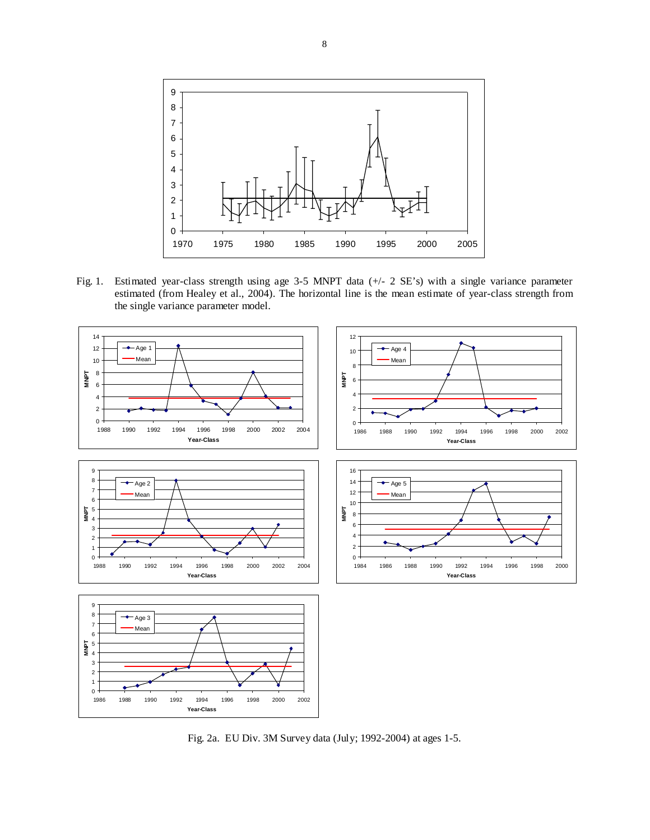

Fig. 1. Estimated year-class strength using age 3-5 MNPT data (+/- 2 SE's) with a single variance parameter estimated (from Healey et al., 2004). The horizontal line is the mean estimate of year-class strength from the single variance parameter model.



Fig. 2a. EU Div. 3M Survey data (July; 1992-2004) at ages 1-5.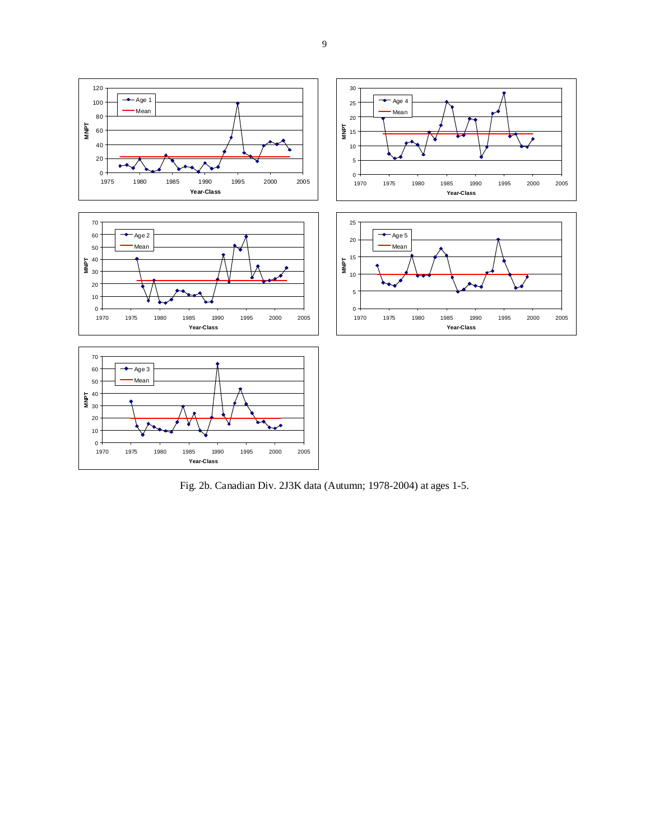

Fig. 2b. Canadian Div. 2J3K data (Autumn; 1978-2004) at ages 1-5.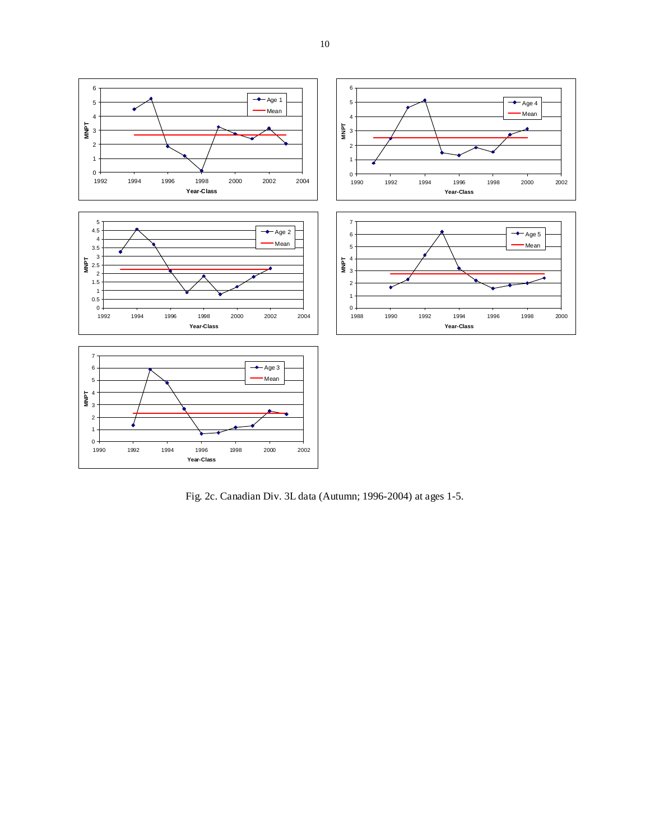

Fig. 2c. Canadian Div. 3L data (Autumn; 1996-2004) at ages 1-5.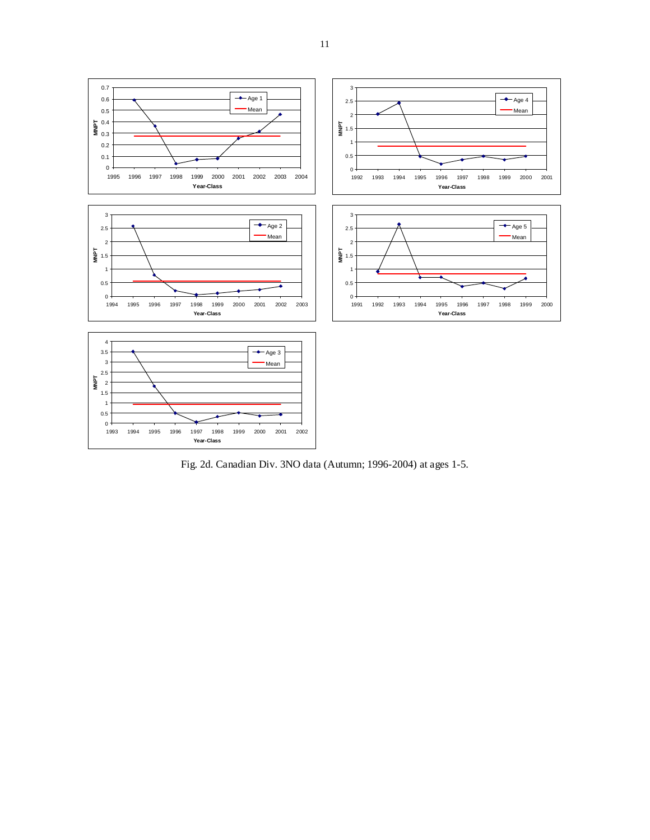

Fig. 2d. Canadian Div. 3NO data (Autumn; 1996-2004) at ages 1-5.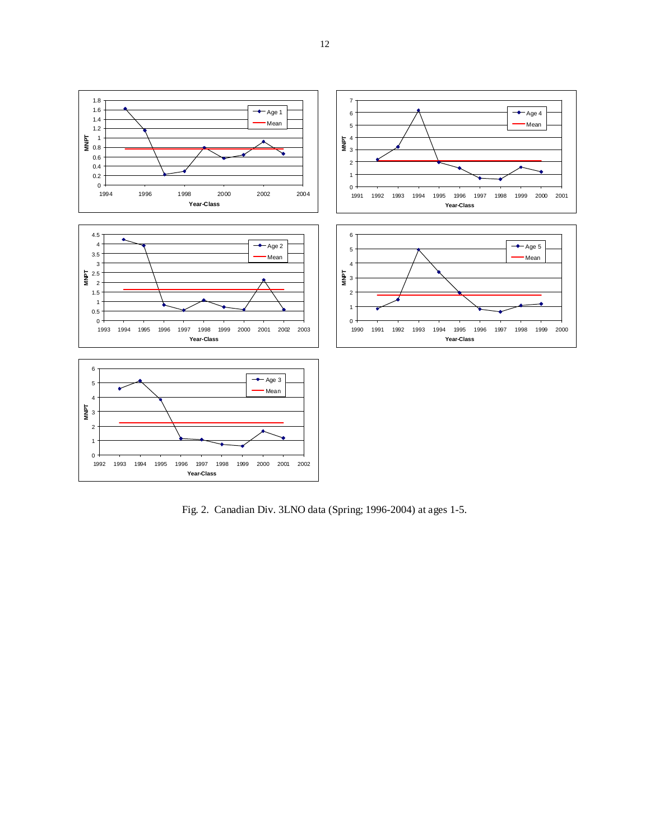

Fig. 2. Canadian Div. 3LNO data (Spring; 1996-2004) at ages 1-5.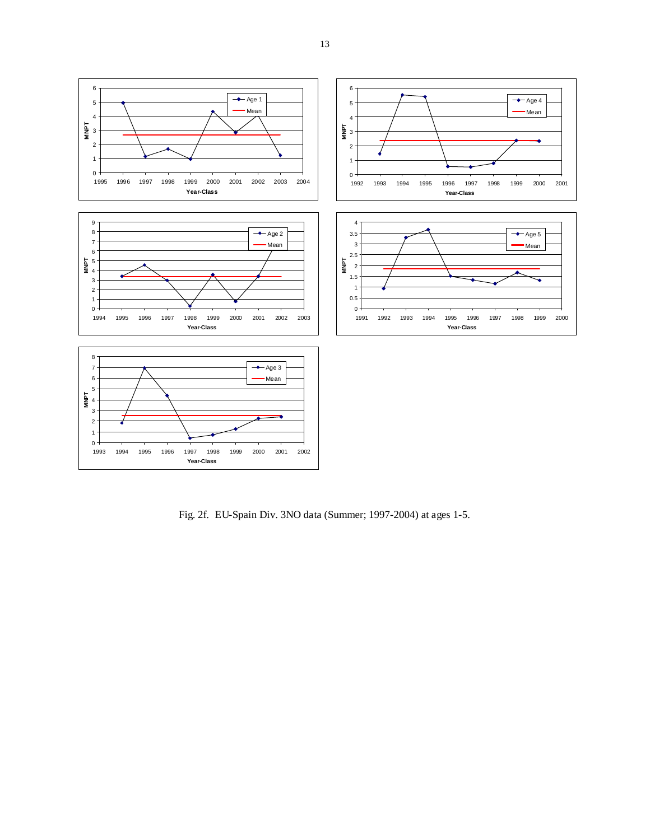

Fig. 2f. EU-Spain Div. 3NO data (Summer; 1997-2004) at ages 1-5.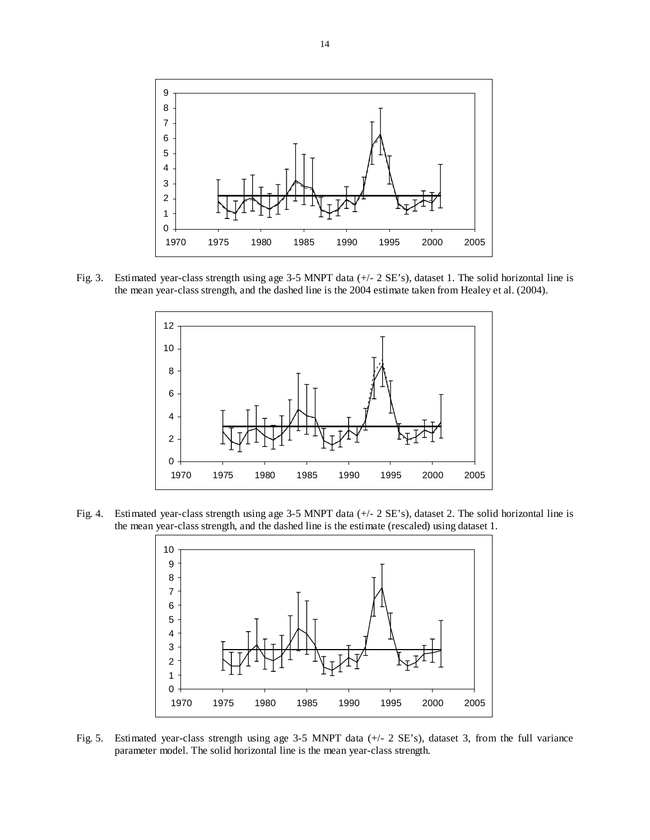

Fig. 3. Estimated year-class strength using age 3-5 MNPT data (+/- 2 SE's), dataset 1. The solid horizontal line is the mean year-class strength, and the dashed line is the 2004 estimate taken from Healey et al. (2004).



Fig. 4. Estimated year-class strength using age 3-5 MNPT data (+/- 2 SE's), dataset 2. The solid horizontal line is the mean year-class strength, and the dashed line is the estimate (rescaled) using dataset 1.



Fig. 5. Estimated year-class strength using age 3-5 MNPT data (+/- 2 SE's), dataset 3, from the full variance parameter model. The solid horizontal line is the mean year-class strength.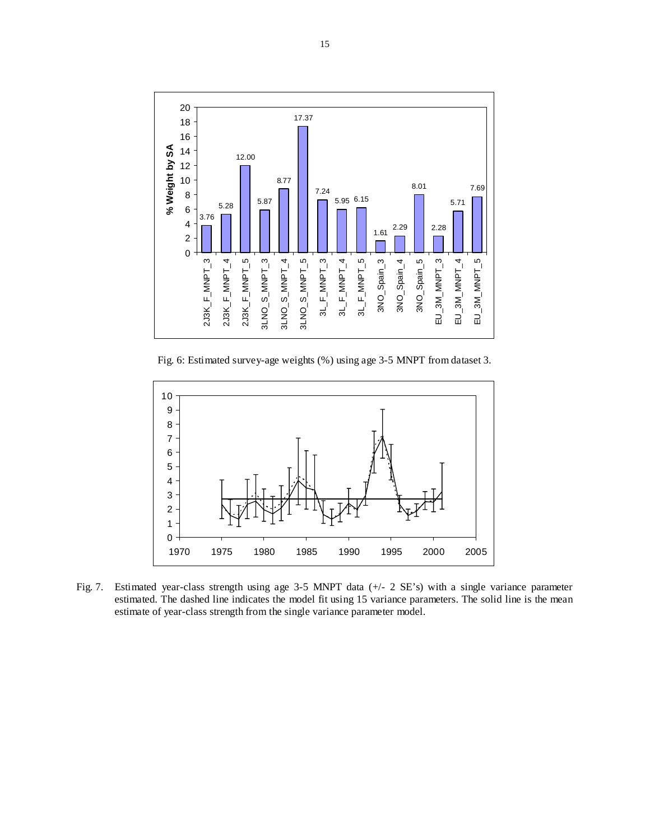

Fig. 6: Estimated survey-age weights (%) using age 3-5 MNPT from dataset 3.



Fig. 7. Estimated year-class strength using age 3-5 MNPT data (+/- 2 SE's) with a single variance parameter estimated. The dashed line indicates the model fit using 15 variance parameters. The solid line is the mean estimate of year-class strength from the single variance parameter model.